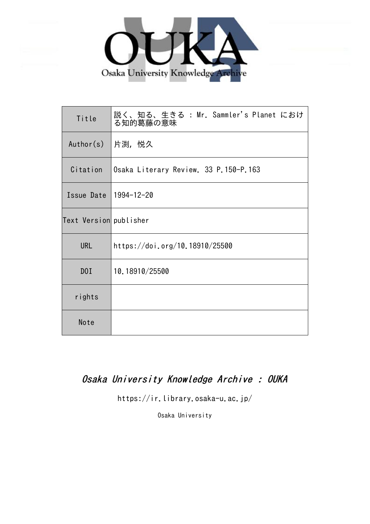

| Title                  | 説く、知る、生きる : Mr. Sammler's Planet におけ<br>る知的葛藤の意味 |
|------------------------|--------------------------------------------------|
| Author(s)              | 片渕,悦久                                            |
| Citation               | Osaka Literary Review. 33 P.150-P.163            |
| Issue Date             | 1994-12-20                                       |
| Text Version publisher |                                                  |
| <b>URL</b>             | https://doi.org/10.18910/25500                   |
| D0I                    | 10.18910/25500                                   |
| rights                 |                                                  |
| Note                   |                                                  |

# Osaka University Knowledge Archive : OUKA

https://ir.library.osaka-u.ac.jp/

Osaka University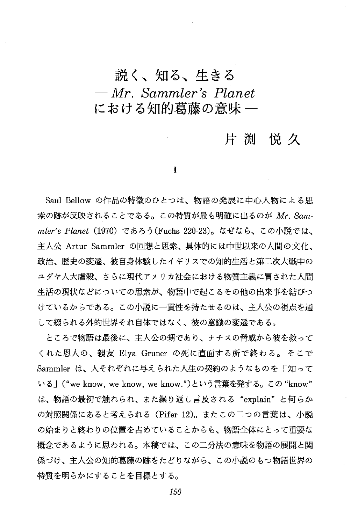## 説く、知る、生きる  $-Mr$ . Sammler's Planet における知的葛藤の意味 ―

### 片渕悦久

1

Saul Bellow の作品の特徴のひとつは、物語の発展に中心人物による思 索の跡が反映されることである。この特質が最も明確に出るのが Mr. Sammler's Planet(1970)であろう(Fuchs 220-23)。なぜなら、この小説では、 主人公 Artur Sammler の回想と思索、具体的には中世以来の人間の文化、 政治、歴史の変遷、彼自身体験したイギリスでの知的牛活と第二次大戦中の ユダヤ人大虐殺、さらに現代アメリカ社会における物質主義に冒された人間 生活の現状などについての思索が、物語中で起こるその他の出来事を結びつ けているからである。この小説に一貫性を持たせるのは、主人公の視点を通 して綴られる外的世界それ自体ではなく、彼の意識の変遷である。

ところで物語は最後に、主人公の甥であり、ナチスの脅威から彼を救って くれた恩人の、親友 Elya Gruner の死に直面する所で終わる。そこで Sammler は、人それぞれに与えられた人牛の契約のようなものを「知って いる」("we know, we know, we know.")という言葉を発する。この "know" は、物語の最初で触れられ、また繰り返し言及される"explain"と何らか の対照関係にあると考えられる(Pifer 12)。またこの二つの言葉は、小説 の始まりと終わりの位置を占めていることからも、物語全体にとって重要な 概念であるように思われる。本稿では、この二分法の意味を物語の展開と関 係づけ、主人公の知的葛藤の跡をたどりながら、この小説のもつ物語世界の 特質を明らかにすることを目標とする。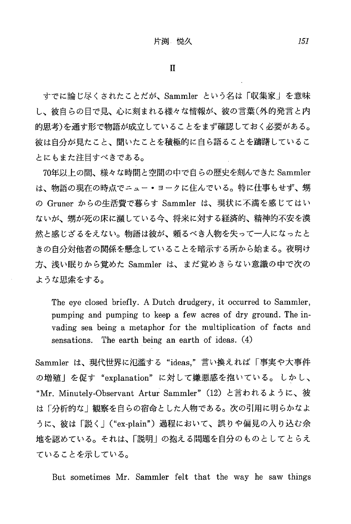すでに論じ尽くされたことだが、Sammler という名は「収集家」を意味 し、彼自らの目で見、心に刻まれる様々な情報が、彼の言葉(外的発言と内 的思考)を通す形で物語が成立していることをまず確認しておく必要がある。 彼は自分が見たこと、聞いたことを積極的に自ら語ることを躊躇しているこ とにもまた注目すべきである。

70年以上の間、様々な時間と空間の中で自らの歴史を刻んできた Sammler は、物語の現在の時点でニュー・ヨークに住んでいる。特に仕事もせず、甥 の Gruner からの牛活費で暮らす Sammler は、現状に不満を感じてはい ないが、甥が死の床に瀕している今、将来に対する経済的、精神的不安を漠 然と感じざるをえない。物語は彼が、頼るべき人物を失って一人になったと きの白分対他者の関係を懸念していることを暗示する所から始まる。夜明け 方、浅い眠りから覚めた Sammler は、まだ覚めきらない意識の中で次の ような思索をする。

The eye closed briefly. A Dutch drudgery, it occurred to Sammler, pumping and pumping to keep a few acres of dry ground. The invading sea being a metaphor for the multiplication of facts and sensations. The earth being an earth of ideas. (4)

Sammler は、現代世界に氾濫する"ideas,"言い換えれば「事実や大事件 の増殖」を促す"explanation"に対して嫌悪感を抱いている。しかし、 "Mr. Minutely-Observant Artur Sammler" (12) と言われるように、彼 は「分析的な」観察を自らの宿命とした人物である。次の引用に明らかなよ うに、彼は「説く」("ex-plain")過程において、誤りや偏見の入り込む余 地を認めている。それは、「説明」の抱える問題を自分のものとしてとらえ ていることを示している。

But sometimes Mr. Sammler felt that the way he saw things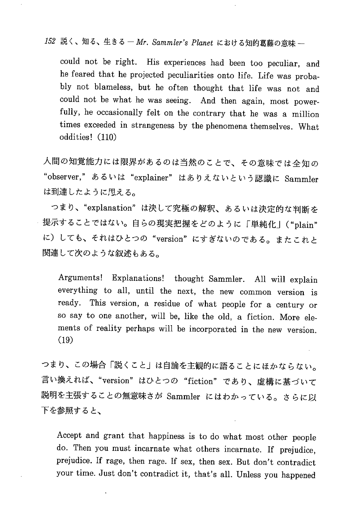152 説く、知る、生きる – Mr. Sammler's Planet における知的葛藤の意味 –

could not be right. His experiences had been too peculiar , and he feared that he projected peculiarities onto life. Life was probably not blameless, but he often thought that life was not and could not be what he was seeing. And then again, most powerfully, he occasionally felt on the contrary that he was a million times exceeded in strangeness by the phenomena themselves . What oddities! (110)

人間の知覚能力には限界があるのは当然のことで、その意味では全知の "observer,"あるいは "explainer" はありえないという認識に Sam は到達したように思える。

つまり、"explanation"は決して究極の解釈、あるいは決定的な判断を 提示することではない。自らの現実把握をどのように「単純化」("plain" に)しても、それはひとつの"version"にすぎないのである。またこれと 関連して次のような叙述もある。

Arguments! Explanations! thought Sammler. All will explain everything to all, until the next , the new common version is ready. This version, a residue of what people for a century or so say to one another, will be , like the old, a fiction. More elements of reality perhaps will be incorporated in the new version. (19)

つまり、この場合「説くこと」は自論を主観的に語ることにほかならない。 言い換えれば、"version"はひとつの "fiction"であり、虚構に基づいて 説明を主張することの無意味さが Sammler にはわかっている。さらに以 下を参照すると、

Accept and grant that happiness is to do what most other people do. Then you must incarnate what others incarnate . If prejudice, prejudice. If rage, then rage. If sex, then sex. But don't contradict your time. Just don't contradict it, that's all. Unless you happened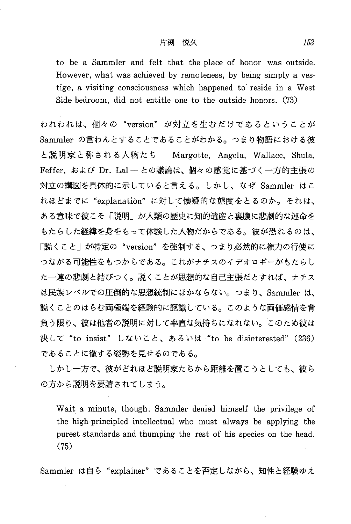to be a Sammler and felt that the place of honor was outside. However, what was achieved by remoteness, by being simply a vestige, a visiting consciousness which happened to reside in a West Side bedroom, did not entitle one to the outside honors. (73)

われわれは、個々の "version" が対立を生むだけであるということが Sammler の言わんとすることであることがわかる。つまり物語における彼 と説明家と称される人物たち – Margotte, Angela, Wallace, Shula, Feffer, および Dr. Lal - との議論は、個々の感覚に基づく一方的主張の 対立の構図を具体的に示していると言える。しかし、なぜ Sammler はこ れほどまでに"explanation"に対して懐疑的な態度をとるのか。それは、 ある意味で彼こそ「説明」が人類の歴史に知的遺産と裏腹に悲劇的な運命を もたらした経緯を身をもって体験した人物だからである。彼が恐れるのは、 「説くこと」が特定の"version"を強制する、つまり必然的に権力の行使に つながる可能性をもつからである。これがナチスのイデオロギーがもたらし た一連の悲劇と結びつく。説くことが思想的な自己主張だとすれば、ナチス は民族レベルでの圧倒的な思想統制にほかならない。つまり、Sammler は、 説くことのはらむ両極端を経験的に認識している。このような両価感情を背 負う限り、彼は他者の説明に対して率直な気持ちになれない。このため彼は 決して "to insist" しないこと、あるいは "to be disinterested" (236) であることに徹する姿勢を見せるのである。

しかし一方で、彼がどれほど説明家たちから距離を置こうとしても、彼ら の方から説明を要請されてしまう。

Wait a minute, though: Sammler denied himself the privilege of the high-principled intellectual who must always be applying the purest standards and thumping the rest of his species on the head.  $(75)$ 

Sammler は自ら"explainer"であることを否定しながら、知性と経験ゆえ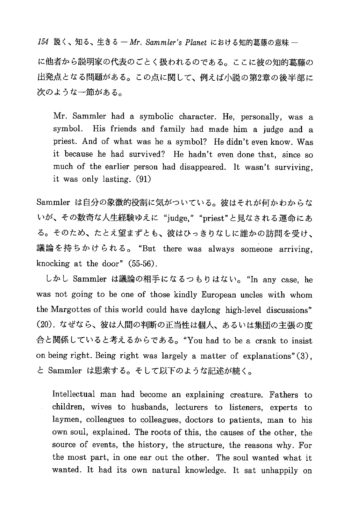154 説く、知る、生きる — Mr. Sammler's Planet における知的葛藤の意味 —

に他者から説明家の代表のごとく扱われるのである。ここに彼の知的葛藤の 出発点となる問題がある。この点に関して、例えば小説の第2章の後半部に 次のような一節がある。

Mr. Sammler had a symbolic character. He, personally, was a symbol. His friends and family had made him a judge and a priest. And of what was he a symbol? He didn't even know. Was it because he had survived? He hadn't even done that, since so much of the earlier person had disappeared. It wasn't surviving, it was only lasting. (91)

Sammler は自分の象徴的役割に気がついている。彼はそれが何かわからな いが、その数奇な人生経験ゆえに"judge,""priest"と見なされる運命にあ る。そのため、たとえ望まずとも、彼はひっきりなしに誰かの訪問を受け、 議論を持ちかけられる。 "But there was always someone arriving, knocking at the door"  $(55-56)$ .

しかし Sammler は議論の相手になるつもりはない。 "In any case, he was not going to be one of those kindly European uncles with whom the Margottes of this world could have daylong high-level discussions" (20). なぜなら、彼は人間の判断の正当性は個人、あるいは集団の主張の度 合と関係していると考えるからである。"You had to be a crank to insist on being right. Being right was largely a matter of explanations"(3), と Sammler は思索する。そして以下のような記述が続く。

Intellectual man had become an explaining creature. Fathers to children, wives to husbands, lecturers to listeners, experts to laymen, colleagues to colleagues, doctors to patients, man to his own soul, explained. The roots of this, the causes of the other, the source of events, the history, the structure, the reasons why. For the most part, in one ear out the other. The soul wanted what it wanted. It had its own natural knowledge. It sat unhappily on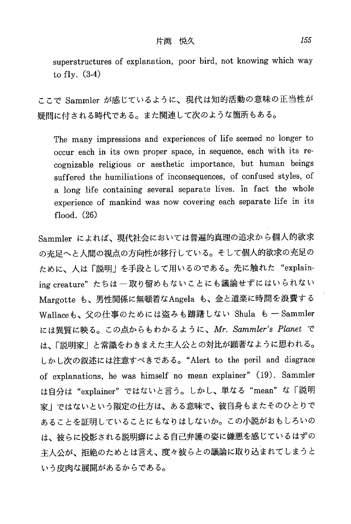superstructures of explanation, poor bird, not knowing which way to fly.  $(3-4)$ 

ここで Sammler が感じているように、現代は知的活動の意味の正当性が 疑問に付される時代である。また関連して次のような箇所もある。

The many impressions and experiences of life seemed no longer to occur each in its own proper space, in sequence, each with its recognizable religious or aesthetic importance, but human beings suffered the humiliations of inconsequences, of confused styles, of a long life containing several separate lives. In fact the whole experience of mankind was now covering each separate life in its flood.  $(26)$ 

Sammler によれば、現代社会においては普遍的真理の追求から個人的欲求 の充足へと人間の視点の方向性が移行している。そして個人的欲求の充足の ために、人は「説明」を手段として用いるのである。先に触れた "explaining creature"たちは一取り留めもないことにも議論せずにはいられない Margotte も、男性関係に無頓着なAngela も、金と道楽に時間を浪費する Wallaceも、父の仕事のためには盗みも躊躇しない Shula も - Sammler には異質に映る。この点からもわかるように、Mr. Sammler's Planet で は、「説明家」と常識をわきまえた主人公との対比が顕著なように思われる。 しかし次の叙述には注意すべきである。"Alert to the peril and disgrace of explanations, he was himself no mean explainer" (19). Sammler は自分は "explainer" ではないと言う。しかし、単なる "mean" な「説明 家」ではないという限定の仕方は、ある意味で、彼自身もまたそのひとりで あることを証明していることにもなりはしないか。この小説がおもしろいの は、彼らに投影される説明癖による自己弁護の姿に嫌悪を感じているはずの 主人公が、拒絶のためとは言え、度々彼らとの議論に取り込まれてしまうと いう皮肉な展開があるからである。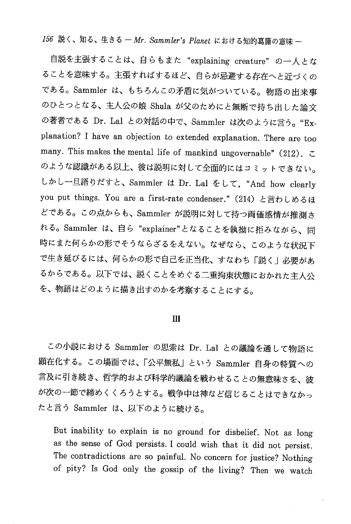156 説く、知る、生きる - Mr. Sammler's Planet における知的葛藤の意味 -

自説を主張することは、自らもまた "explaining creature" の一人とな ることを意味する。主張すればするほど、自らが忌避する存在へと近づくの である。Sammler は、もちろんこの矛盾に気がついている。物語の出来事 のひとつとなる、主人公の娘 Shula が父のためにと無断で持ち出した論文 の著者である Dr. Lal との対話の中で、Sammler は次のように言う。"Explanation? I have an objection to extended explanation. There are too many. This makes the mental life of mankind ungovernable" (212). のような認識がある以上、彼は説明に対して全面的にはコミットできない。 しかし一旦語りだすと、Sammler は Dr. Lal をして、"And how clearly you put things. You are a first-rate condenser." (214) と言わしめるほ どである。この点からも、Sammler が説明に対して持つ両価感情が推測さ れる。Sammler は、自ら "explainer"となることを執拗に拒みながら、同 時にまた何らかの形でそうならざるをえない。なぜなら、このような状況下 で生き延びるには、何らかの形で自己を正当化、すなわち「説く」必要があ るからである。以下では、説くことをめぐる二重拘束状態におかれた主人公 を、物語はどのように描き出すのかを考察することにする。

#### III

この小説における Sammler の思索は Dr. Lal との議論を通して物語に 顕在化する。この場面では、「公平無私」という Sammler 自身の特質への 言及に引き続き、哲学的および科学的議論を戦わせることの無意味さを、彼 が次の一節で締めくくろうとする。戦争中は神など信じることはできなかっ たと言う Sammler は、以下のように続ける。

But inability to explain is no ground for disbelief . Not as long as the sense of God persists. I could wish that it did not persist . The contradictions are so painful. No concern for justice? Nothing of pity? Is God only the gossip of the living? Then we watch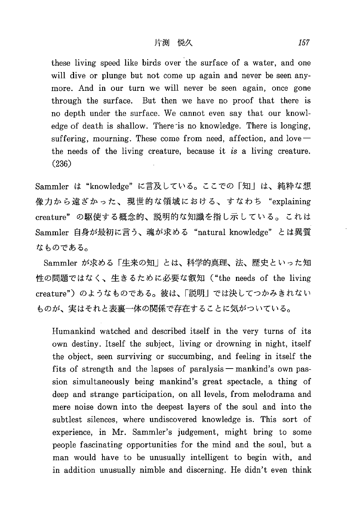these living speed like birds over the surface of a water, and one will dive or plunge but not come up again and never be seen anymore. And in our turn we will never be seen again, once gone through the surface. But then we have no proof that there is no depth under the surface. We cannot even say that our knowledge of death is shallow. There is no knowledge. There is longing, suffering, mourning. These come from need, affection, and  $\log$ the needs of the living creature, because it is a living creature. (236)

Sammler は "knowledge" に言及している。ここでの「知」は、純粋な想 像力から遠ざかった、現世的な領域における、すなわち "explaining creature"の駆使する概念的、説明的な知識を指し示している。これは Sammler 自身が最初に言う、魂が求める "natural knowledge" とは異質 なものである。

Sammler が求める「生来の知」とは、科学的真理、法、歴史といった知 性の問題ではなく、生きるために必要な叡知 ("the needs of the living creature")のようなものである。彼は、「説明」では決してつかみきれない ものが、実はそれと表裏一体の関係で存在することに気がついている。

Humankind watched and described itself in the very turns of its own destiny. Itself the subject, living or drowning in night, itself the object, seen surviving or succumbing, and feeling in itself the fits of strength and the lapses of paralysis — mankind's own passion simultaneously being mankind's great spectacle, a thing of deep and strange participation, on all levels, from melodrama and mere noise down into the deepest layers of the soul and into the subtlest silences, where undiscovered knowledge is. This sort of experience, in Mr. Sammler's judgement, might bring to some people fascinating opportunities for the mind and the soul, but a man would have to be unusually intelligent to begin with, and in addition unusually nimble and discerning. He didn't even think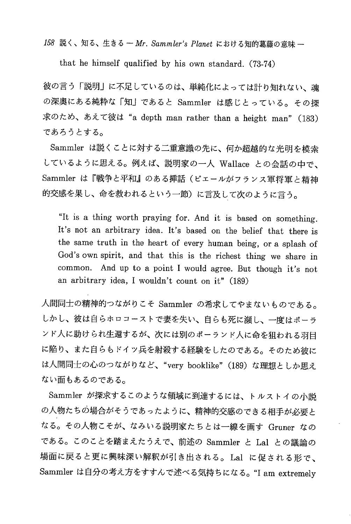158 説く、知る、生きる - Mr. Sammler's Planet における知的葛藤の意味 -

that he himself qualified by his own standard. (73-74)

彼の言う「説明」に不足しているのは、単純化によっては計り知れない、魂 の深奥にある純粋な「知」であると Sammler は感じとっている。その探 求のため、あえて彼は "a depth man rather than a height man" (183) であろうとする。

Sammler は説くことに対する二重意識の先に、何か超越的な光明を模索 しているように思える。例えば、説明家の一人 Wallace との会話の中で、 Sammler は『戦争と平和』のある挿話(ピェールがフランス軍将軍と精神 的交感を果し、命を救われるという一節)に言及して次のように言う。

"It is a thing worth pra ying for. And it is based on something. It's not an arbitrary idea. It's based on the belief that there is the same truth in the heart of every human being, or a splash of God's own spirit, and that this is the richest thing we share in common. And up to a point I would agree. But though it's not an arbitrary idea, I wouldn't count on it" (189)

人間同士の精神的つながりこそ Sammler の希求してやまないものである。 しかし、彼は自らホロコーストで妻を失い、自らも死に瀕し、一度はポーラ ンド人に助けられ生還するが、次には別のポーランド人に命を狙われる羽目 に陥り、また自らもドイツ兵を射殺する経験をしたのである。そのため彼に は人間同士の心のつながりなど、"very booklike" (189) な理想としか思え ない面もあるのである。

Sammler が探求するこのような領域に到達するには、トルストイの小説 の人物たちの場合がそうであったように、精神的交感のできる相手が必要と なる。その人物こそが、なみいる説明家たちとは一線を画す Gruner なの である。このことを踏まえたうえで、前述の Sammler と Lal との議論の 場面に戻ると更に興味深い解釈が引き出される。Lal に促される形で、 Sammler は自分の考え方をすすんで述べる気持ちになる。"I am extremely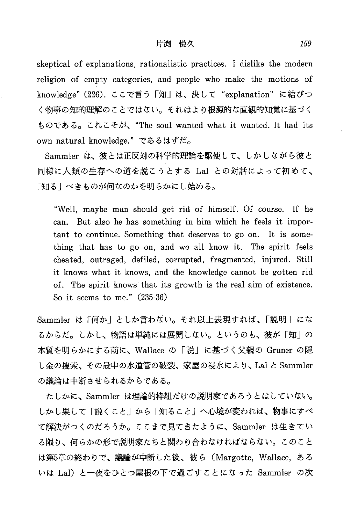skeptical of explanations, rationalistic practices. I dislike the modern religion of empty categories, and people who make the motions of knowledge" (226). ここで言う「知」は、決して "explanation" に結びつ く物事の知的理解のことではない。それはより根源的な直観的知覚に基づく ものである。これこそが、"The soul wanted what it wanted. It had its own natural knowledge." であるはずだ。

Sammler は、彼とは正反対の科学的理論を駆使して、しかしながら彼と 同様に人類の生存への道を説こうとする Lal との対話によって初めて、 「知る」べきものが何なのかを明らかにし始める。

"Well , maybe man should get rid of himself. Of course. If he can. But also he has something in him which he feels it important to continue. Something that deserves to go on. It is something that has to go on, and we all know it. The spirit feels cheated, outraged, defiled, corrupted, fragmented, injured. Still it knows what it knows, and the knowledge cannot be gotten rid of. The spirit knows that its growth is the real aim of existence. So it seems to me." (235-36)

Sammler は「何か」としか言わない。それ以上表現すれば、「説明」にな るからだ。しかし、物語は単純には展開しない。というのも、彼が「知」の 本質を明らかにする前に、Wallace の「説」に基づく父親の Gruner の隠 し金の捜索、その最中の水道管の破裂、家屋の浸水により、Lal と Sammler の議論は中断させられるからである。

たしかに、Sammler は理論的枠組だけの説明家であろうとはしていない。 しかし果して「説くこと」から「知ること」へ心境が変われば、物事にすべ て解決がつくのだろうか。ここまで見てきたように、Sammler は生きてい る限り、何らかの形で説明家たちと関わり合わなければならない。このこと は第5章の終わりで、議論が中断した後、彼ら(Margotte, Wallace, ある いは Lal)と一夜をひとつ屋根の下で過ごすことになった Sammler の次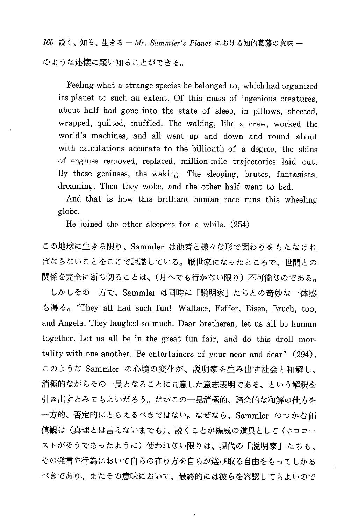160 説く、知る、生きる – Mr. Sammler's Planet における知的葛藤の意味 – のような述懐に窺い知ることができる。

Feeling what a strange species he belonged to, which had organized its planet to such an extent. Of this mass of ingenious creatures. about half had gone into the state of sleep, in pillows, sheeted. wrapped, quilted, muffled. The waking, like a crew, worked the world's machines, and all went up and down and round about with calculations accurate to the billionth of a degree, the skins of engines removed, replaced, million-mile trajectories laid out. By these geniuses, the waking. The sleeping, brutes, fantasists, dreaming. Then they woke, and the other half went to bed.

And that is how this brilliant human race runs this wheeling globe.

He joined the other sleepers for a while. (254)

この地球に生きる限り、Sammler は他者と様々な形で関わりをもたなけれ ばならないことをここで認識している。厭世家になったところで、世間との 関係を完全に断ち切ることは、(月へでも行かない限り)不可能なのである。

しかしその一方で、Sammler は同時に「説明家」たちとの奇妙な一体感 も得る。"They all had such fun! Wallace, Feffer, Eisen, Bruch, too, and Angela. They laughed so much. Dear bretheren, let us all be human together. Let us all be in the great fun fair, and do this droll mortality with one another. Be entertainers of your near and dear" (294). このような Sammler の心境の変化が、説明家を生み出す社会と和解し、 消極的ながらその一員となることに同意した意志表明である、という解釈を 引き出すとみてもよいだろう。だがこの一見消極的、諦念的な和解の仕方を 一方的、否定的にとらえるべきではない。なぜなら、Sammler のつかむ価 値観は(真理とは言えないまでも)、説くことが権威の道具として(ホロコー ストがそうであったように)使われない限りは、現代の「説明家」たちも、 その発言や行為において自らの在り方を自らが選び取る自由をもってしかる べきであり、またその意味において、最終的には彼らを容認してもよいので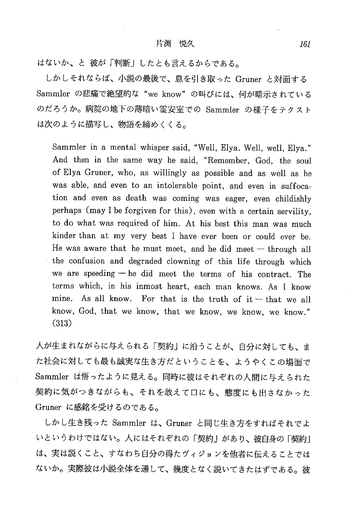はないか、と彼が「判断」したとも言えるからである。

しかしそれならば、小説の最後で、息を引き取った Gruner と対面する Sammler の悲痛で絶望的な"we know"の叫びには、何が暗示されている のだろうか。病院の地下の薄暗い霊安室での Sammler の様子をテクスト は次のように描写し、物語を締めくくる。

Sammler in a mental whisper said, "Well, Elya. Well, well, Elya." And then in the same way he said, "Remember, God, the soul of Elya Gruner, who, as willingly as possible and as well as he was able, and even to an intolerable point, and even in suffocation and even as death was coming was eager, even childishly perhaps (may I be forgiven for this), even with a certain servility, to do what was required of him. At his best this man was much kinder than at my very best I have ever been or could ever be. He was aware that he must meet, and he did meet  $-$  through all the confusion and degraded clowning of this life through which we are speeding — he did meet the terms of his contract. The terms which, in his inmost heart, each man knows. As I know mine. As all know. For that is the truth of  $it - that$  we all know, God, that we know, that we know, we know, we know." (313)

人が生まれながらに与えられる「契約」に沿うことが、自分に対しても、ま た社会に対しても最も誠実な生き方だということを、ようやくこの場面で Sammler は悟ったように見える。同時に彼はそれぞれの人間に与えられた 契約に気がつきながらも、それを敢えて口にも、態度にも出さなかった Gruner に感銘を受けるのである。

しかし生き残った Sammler は、Gruner と同じ生き方をすればそれでよ いというわけではない。人にはそれぞれの「契約」があり、彼自身の「契約」 は、実は説くこと、すなわち自分の得たヴィジョンを他者に伝えることでは ないか。実際彼は小説全体を通して、幾度となく説いてきたはずである。彼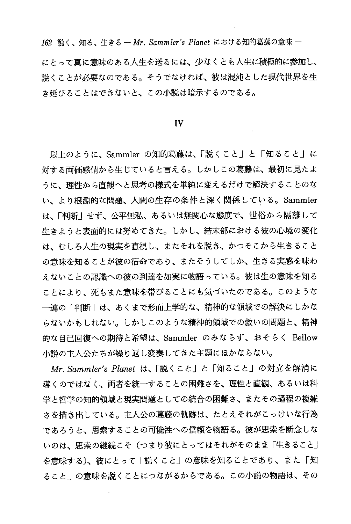162 説く、知る、生きる - Mr. Sammler's Planet における知的葛藤の意味 -

にとって真に意味のある人生を送るには、少なくとも人生に積極的に参加し、 説くことが必要なのである。そうでなければ、彼は混沌とした現代世界を生 き延びることはできないと、この小説は暗示するのである。

#### IV

以上のように、Sammler の知的葛藤は、「説くこと」と「知ること」に 対する両価感情から生じていると言える。しかしこの葛藤は、最初に見たよ うに、理性から直観へと思考の様式を単純に変えるだけで解決することのな い、より根源的な問題、人間の生存の条件と深く関係している。Sammler は、「判断」せず、公平無私、あるいは無関心な態度で、世俗から隔離して 牛きようと表面的には努めてきた。しかし、結末部における彼の心境の変化 は、むしろ人生の現実を直視し、またそれを説き、かつそこから生きること の意味を知ることが彼の宿命であり、またそうしてしか、生きる実感を味わ えないことの認識への彼の到達を如実に物語っている。彼は生の意味を知る ことにより、死もまた意味を帯びることにも気づいたのである。このような 一連の「判断」は、あくまで形而上学的な、精神的な領域での解決にしかな らないかもしれない。しかしこのような精神的領域での救いの問題と、精神 的な自己回復への期待と希望は、Sammler のみならず、おそらく Bellow 小説の主人公たちが繰り返し変奏してきた主題にほかならない。

Mr. Sammler's Planet は、「説くこと」と「知ること」の対立を解消に 導くのではなく、両者を統一することの困難さを、理性と直観、あるいは科 学と哲学の知的領域と現実問題としての統合の困難さ、またその過程の複雑 さを描き出している。主人公の葛藤の軌跡は、たとえそれがこっけいな行為 であろうと、思索することの可能性への信頼を物語る。彼が思索を断念しな いのは、思索の継続こそ(つまり彼にとってはそれがそのまま「生きること」 を意味する)、彼にとって「説くこと」の意味を知ることであり、また「知 ること」の意味を説くことにつながるからである。この小説の物語は、その